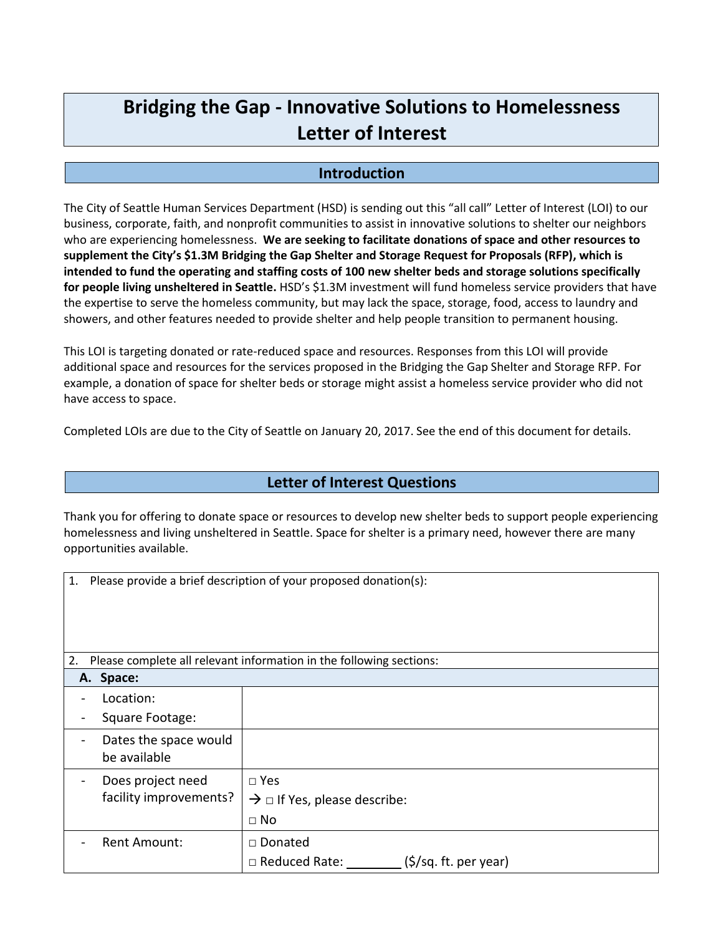## **Bridging the Gap - Innovative Solutions to Homelessness Letter of Interest**

## **Introduction**

The City of Seattle Human Services Department (HSD) is sending out this "all call" Letter of Interest (LOI) to our business, corporate, faith, and nonprofit communities to assist in innovative solutions to shelter our neighbors who are experiencing homelessness. **We are seeking to facilitate donations of space and other resources to supplement the City's \$1.3M Bridging the Gap Shelter and Storage Request for Proposals (RFP), which is intended to fund the operating and staffing costs of 100 new shelter beds and storage solutions specifically for people living unsheltered in Seattle.** HSD's \$1.3M investment will fund homeless service providers that have the expertise to serve the homeless community, but may lack the space, storage, food, access to laundry and showers, and other features needed to provide shelter and help people transition to permanent housing.

This LOI is targeting donated or rate-reduced space and resources. Responses from this LOI will provide additional space and resources for the services proposed in the Bridging the Gap Shelter and Storage RFP. For example, a donation of space for shelter beds or storage might assist a homeless service provider who did not have access to space.

Completed LOIs are due to the City of Seattle on January 20, 2017. See the end of this document for details.

## **Letter of Interest Questions**

Thank you for offering to donate space or resources to develop new shelter beds to support people experiencing homelessness and living unsheltered in Seattle. Space for shelter is a primary need, however there are many opportunities available.

| 1. |                                                                     | Please provide a brief description of your proposed donation(s):            |  |
|----|---------------------------------------------------------------------|-----------------------------------------------------------------------------|--|
| 2. | Please complete all relevant information in the following sections: |                                                                             |  |
|    | A. Space:                                                           |                                                                             |  |
|    | Location:                                                           |                                                                             |  |
|    | Square Footage:                                                     |                                                                             |  |
|    | Dates the space would<br>be available                               |                                                                             |  |
|    | Does project need<br>facility improvements?                         | $\square$ Yes<br>$\rightarrow$ $\Box$ If Yes, please describe:<br>$\Box$ No |  |
|    | Rent Amount:                                                        | □ Donated<br>(\$/sq. ft. per year)<br>□ Reduced Rate:                       |  |